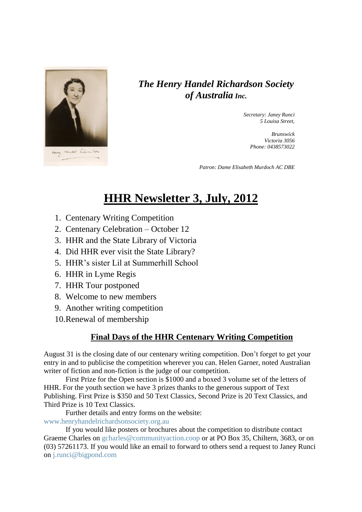

## *The Henry Handel Richardson Society of Australia Inc.*

*Secretary: Janey Runci 5 Louisa Street,* 

> *Brunswick Victoria 3056 Phone: 0438573022*

*Patron: Dame Elisabeth Murdoch AC DBE*

# **HHR Newsletter 3, July, 2012**

- 1. Centenary Writing Competition
- 2. Centenary Celebration October 12
- 3. HHR and the State Library of Victoria
- 4. Did HHR ever visit the State Library?
- 5. HHR's sister Lil at Summerhill School
- 6. HHR in Lyme Regis
- 7. HHR Tour postponed
- 8. Welcome to new members
- 9. Another writing competition

10.Renewal of membership

## **Final Days of the HHR Centenary Writing Competition**

August 31 is the closing date of our centenary writing competition. Don't forget to get your entry in and to publicise the competition wherever you can. Helen Garner, noted Australian writer of fiction and non-fiction is the judge of our competition.

First Prize for the Open section is \$1000 and a boxed 3 volume set of the letters of HHR. For the youth section we have 3 prizes thanks to the generous support of Text Publishing. First Prize is \$350 and 50 Text Classics, Second Prize is 20 Text Classics, and Third Prize is 10 Text Classics.

Further details and entry forms on the website:

[www.henryhandelrichardsonsociety.org.au](http://www.henryhandelrichardsonsociety.org.au/)

If you would like posters or brochures about the competition to distribute contact Graeme Charles on [gcharles@communityaction.coop](mailto:gcharles@communityaction.coop) or at PO Box 35, Chiltern, 3683, or on (03) 57261173. If you would like an email to forward to others send a request to Janey Runci on [j.runci@bigpond.com](mailto:j.runci@bigpond.com)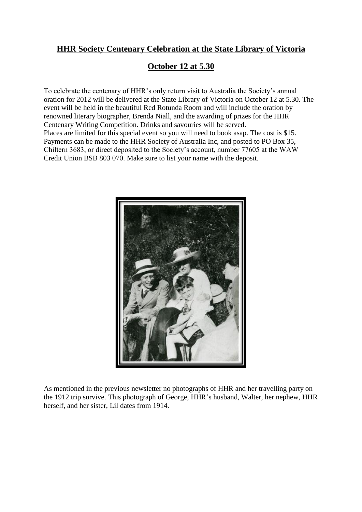## **HHR Society Centenary Celebration at the State Library of Victoria**

## **October 12 at 5.30**

To celebrate the centenary of HHR's only return visit to Australia the Society's annual oration for 2012 will be delivered at the State Library of Victoria on October 12 at 5.30. The event will be held in the beautiful Red Rotunda Room and will include the oration by renowned literary biographer, Brenda Niall, and the awarding of prizes for the HHR Centenary Writing Competition. Drinks and savouries will be served. Places are limited for this special event so you will need to book asap. The cost is \$15. Payments can be made to the HHR Society of Australia Inc, and posted to PO Box 35, Chiltern 3683, or direct deposited to the Society's account, number 77605 at the WAW Credit Union BSB 803 070. Make sure to list your name with the deposit.



As mentioned in the previous newsletter no photographs of HHR and her travelling party on the 1912 trip survive. This photograph of George, HHR's husband, Walter, her nephew, HHR herself, and her sister, Lil dates from 1914.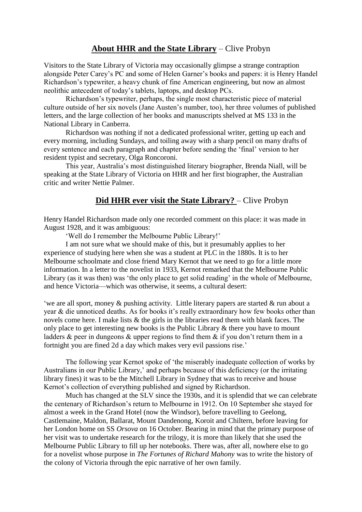#### **About HHR and the State Library** – Clive Probyn

Visitors to the State Library of Victoria may occasionally glimpse a strange contraption alongside Peter Carey's PC and some of Helen Garner's books and papers: it is Henry Handel Richardson's typewriter, a heavy chunk of fine American engineering, but now an almost neolithic antecedent of today's tablets, laptops, and desktop PCs.

Richardson's typewriter, perhaps, the single most characteristic piece of material culture outside of her six novels (Jane Austen's number, too), her three volumes of published letters, and the large collection of her books and manuscripts shelved at MS 133 in the National Library in Canberra.

Richardson was nothing if not a dedicated professional writer, getting up each and every morning, including Sundays, and toiling away with a sharp pencil on many drafts of every sentence and each paragraph and chapter before sending the 'final' version to her resident typist and secretary, Olga Roncoroni.

This year, Australia's most distinguished literary biographer, Brenda Niall, will be speaking at the State Library of Victoria on HHR and her first biographer, the Australian critic and writer Nettie Palmer.

#### **Did HHR ever visit the State Library?** – Clive Probyn

Henry Handel Richardson made only one recorded comment on this place: it was made in August 1928, and it was ambiguous:

'Well do I remember the Melbourne Public Library!'

I am not sure what we should make of this, but it presumably applies to her experience of studying here when she was a student at PLC in the 1880s. It is to her Melbourne schoolmate and close friend Mary Kernot that we need to go for a little more information. In a letter to the novelist in 1933, Kernot remarked that the Melbourne Public Library (as it was then) was 'the only place to get solid reading' in the whole of Melbourne, and hence Victoria—which was otherwise, it seems, a cultural desert:

'we are all sport, money & pushing activity. Little literary papers are started & run about a year & die unnoticed deaths. As for books it's really extraordinary how few books other than novels come here. I make lists & the girls in the libraries read them with blank faces. The only place to get interesting new books is the Public Library & there you have to mount ladders & peer in dungeons & upper regions to find them & if you don't return them in a fortnight you are fined 2d a day which makes very evil passions rise.'

The following year Kernot spoke of 'the miserably inadequate collection of works by Australians in our Public Library,' and perhaps because of this deficiency (or the irritating library fines) it was to be the Mitchell Library in Sydney that was to receive and house Kernot's collection of everything published and signed by Richardson.

Much has changed at the SLV since the 1930s, and it is splendid that we can celebrate the centenary of Richardson's return to Melbourne in 1912. On 10 September she stayed for almost a week in the Grand Hotel (now the Windsor), before travelling to Geelong, Castlemaine, Maldon, Ballarat, Mount Dandenong, Koroit and Chiltern, before leaving for her London home on SS *Orsova* on 16 October. Bearing in mind that the primary purpose of her visit was to undertake research for the trilogy, it is more than likely that she used the Melbourne Public Library to fill up her notebooks. There was, after all, nowhere else to go for a novelist whose purpose in *The Fortunes of Richard Mahony* was to write the history of the colony of Victoria through the epic narrative of her own family.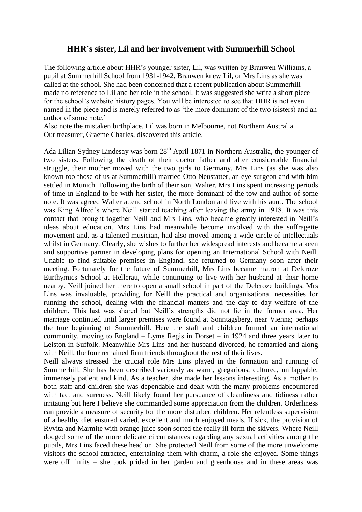#### **HHR's sister, Lil and her involvement with Summerhill School**

The following article about HHR's younger sister, Lil, was written by Branwen Williams, a pupil at Summerhill School from 1931-1942. Branwen knew Lil, or Mrs Lins as she was called at the school. She had been concerned that a recent publication about Summerhill made no reference to Lil and her role in the school. It was suggested she write a short piece for the school's website history pages. You will be interested to see that HHR is not even named in the piece and is merely referred to as 'the more dominant of the two (sisters) and an author of some note.'

Also note the mistaken birthplace. Lil was born in Melbourne, not Northern Australia. Our treasurer, Graeme Charles, discovered this article.

Ada Lilian Sydney Lindesay was born 28<sup>th</sup> April 1871 in Northern Australia, the younger of two sisters. Following the death of their doctor father and after considerable financial struggle, their mother moved with the two girls to Germany. Mrs Lins (as she was also known too those of us at Summerhill) married Otto Neustatter, an eye surgeon and with him settled in Munich. Following the birth of their son, Walter, Mrs Lins spent increasing periods of time in England to be with her sister, the more dominant of the tow and author of some note. It was agreed Walter attend school in North London and live with his aunt. The school was King Alfred's where Neill started teaching after leaving the army in 1918. It was this contact that brought together Neill and Mrs Lins, who became greatly interested in Neill's ideas about education. Mrs Lins had meanwhile become involved with the suffragette movement and, as a talented musician, had also moved among a wide circle of intellectuals whilst in Germany. Clearly, she wishes to further her widespread interests and became a keen and supportive partner in developing plans for opening an International School with Neill. Unable to find suitable premises in England, she returned to Germany soon after their meeting. Fortunately for the future of Summerhill, Mrs Lins became matron at Delcroze Eurthymics School at Hellerau, while continuing to live with her husband at their home nearby. Neill joined her there to open a small school in part of the Delcroze buildings. Mrs Lins was invaluable, providing for Neill the practical and organisational necessities for running the school, dealing with the financial matters and the day to day welfare of the children. This last was shared but Neill's strengths did not lie in the former area. Her marriage continued until larger premises were found at Sonntagsberg, near Vienna; perhaps the true beginning of Summerhill. Here the staff and children formed an international community, moving to England – Lyme Regis in Dorset – in 1924 and three years later to Leiston in Suffolk. Meanwhile Mrs Lins and her husband divorced, he remarried and along with Neill, the four remained firm friends throughout the rest of their lives.

Neill always stressed the crucial role Mrs Lins played in the formation and running of Summerhill. She has been described variously as warm, gregarious, cultured, unflappable, immensely patient and kind. As a teacher, she made her lessons interesting. As a mother to both staff and children she was dependable and dealt with the many problems encountered with tact and sureness. Neill likely found her pursuance of cleanliness and tidiness rather irritating but here I believe she commanded some appreciation from the children. Orderliness can provide a measure of security for the more disturbed children. Her relentless supervision of a healthy diet ensured varied, excellent and much enjoyed meals. If sick, the provision of Ryvita and Marmite with orange juice soon sorted the really ill form the skivers. Where Neill dodged some of the more delicate circumstances regarding any sexual activities among the pupils, Mrs Lins faced these head on. She protected Neill from some of the more unwelcome visitors the school attracted, entertaining them with charm, a role she enjoyed. Some things were off limits – she took prided in her garden and greenhouse and in these areas was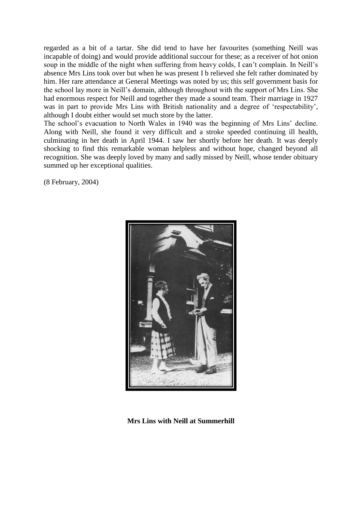regarded as a bit of a tartar. She did tend to have her favourites (something Neill was incapable of doing) and would provide additional succour for these; as a receiver of hot onion soup in the middle of the night when suffering from heavy colds, I can't complain. In Neill's absence Mrs Lins took over but when he was present I b relieved she felt rather dominated by him. Her rare attendance at General Meetings was noted by us; this self government basis for the school lay more in Neill's domain, although throughout with the support of Mrs Lins. She had enormous respect for Neill and together they made a sound team. Their marriage in 1927 was in part to provide Mrs Lins with British nationality and a degree of 'respectability', although I doubt either would set much store by the latter.

The school's evacuation to North Wales in 1940 was the beginning of Mrs Lins' decline. Along with Neill, she found it very difficult and a stroke speeded continuing ill health, culminating in her death in April 1944. I saw her shortly before her death. It was deeply shocking to find this remarkable woman helpless and without hope, changed beyond all recognition. She was deeply loved by many and sadly missed by Neill, whose tender obituary summed up her exceptional qualities.

(8 February, 2004)



**Mrs Lins with Neill at Summerhill**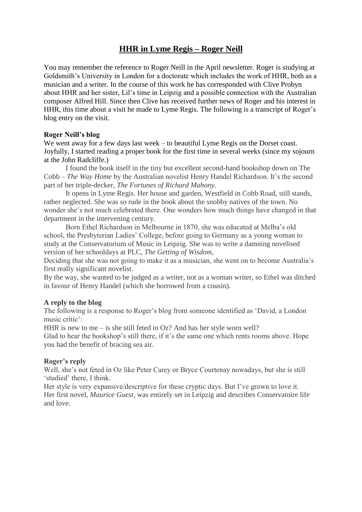## **HHR in Lyme Regis – Roger Neill**

You may remember the reference to Roger Neill in the April newsletter. Roger is studying at Goldsmith's University in London for a doctorate which includes the work of HHR, both as a musician and a writer. In the course of this work he has corresponded with Clive Probyn about HHR and her sister, Lil's time in Leipzig and a possible connection with the Australian composer Alfred Hill. Since then Clive has received further news of Roger and his interest in HHR, this time about a visit he made to Lyme Regis. The following is a transcript of Roger's blog entry on the visit.

#### **Roger Neill's blog**

We went away for a few days last week – to beautiful Lyme Regis on the Dorset coast. Joyfully, I started reading a proper book for the first time in several weeks (since my sojourn at the John Radcliffe.)

I found the book itself in the tiny but excellent second-hand bookshop down on The Cobb – *The Way Home* by the Australian novelist Henry Handel Richardson. It's the second part of her triple-decker, *The Fortunes of Richard Mahony.*

It opens in Lyme Regis. Her house and garden, Westfield in Cobb Road, still stands, rather neglected. She was so rude in the book about the snobby natives of the town. No wonder she's not much celebrated there. One wonders how much things have changed in that department in the intervening century.

Born Ethel Richardson in Melbourne in 1870, she was educated at Melba's old school, the Presbyterian Ladies' College, before going to Germany as a young woman to study at the Conservatorium of Music in Leipzig. She was to write a damning novelised version of her schooldays at PLC, *The Getting of Wisdom*,

Deciding that she was not going to make it as a musician, she went on to become Australia's first really significant novelist.

By the way, she wanted to be judged as a writer, not as a woman writer, so Ethel was ditched in favour of Henry Handel (which she borrowed from a cousin).

#### **A reply to the blog**

The following is a response to Roger's blog from someone identified as 'David, a London music critic':

HHR is new to me – is she still feted in  $Oz$ ? And has her style worn well?

Glad to hear the bookshop's still there, if it's the same one which rents rooms above. Hope you had the benefit of bracing sea air.

#### **Roger's reply**

Well, she's not feted in Oz like Peter Carey or Bryce Courtenay nowadays, but she is still 'studied' there, I think.

Her style is very expansive/descriptive for these cryptic days. But I've grown to love it. Her first novel, *Maurice Guest*, was entirely set in Leipzig and describes Conservatoire life and love.